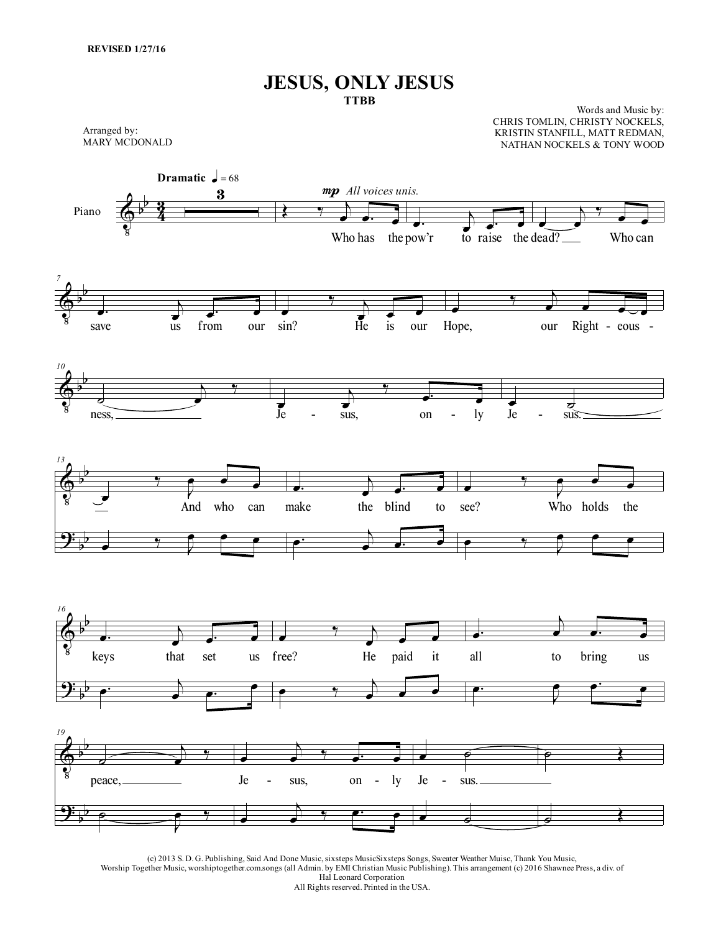## **JESUS, ONLY JESUS TTBB**

Arranged by: MARY MCDONALD

Words and Music by: CHRIS TOMLIN, CHRISTY NOCKELS, KRISTIN STANFILL, MATT REDMAN, NATHAN NOCKELS & TONY WOOD



(c) 2013 S. D. G. Publishing, Said And Done Music,sixsteps MusicSixsteps Songs, Sweater Weather Muisc, Thank You Music, Worship Together Music, worshiptogether.com.songs (all Admin. by EMI Christian Music Publishing). This arrangement (c) 2016 Shawnee Press, a div. of Hal Leonard Corporation All Rights reserved. Printed in the USA.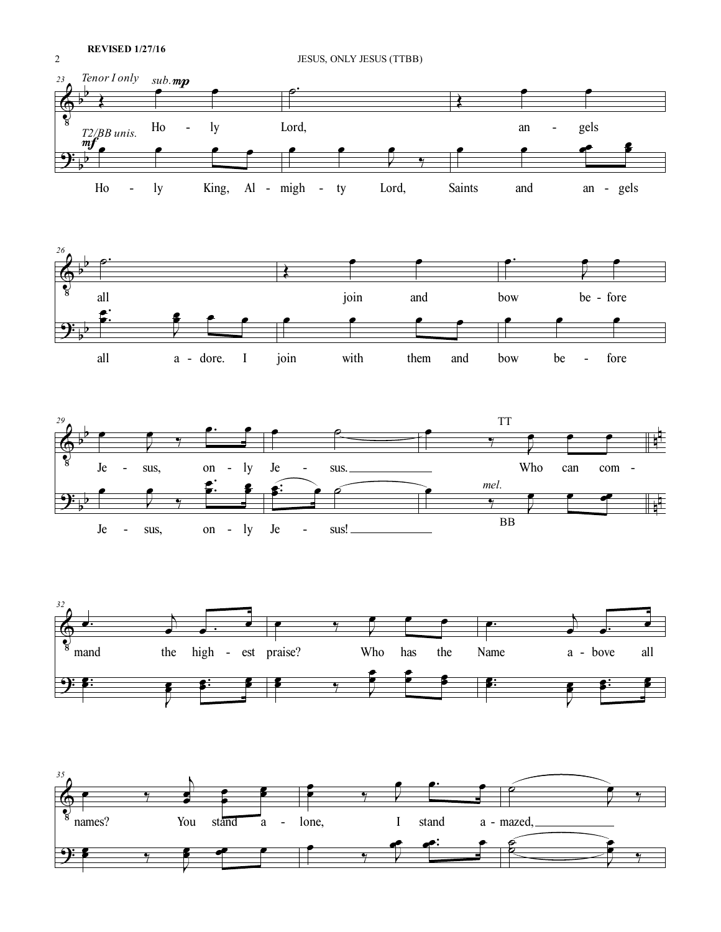

Ι

Ι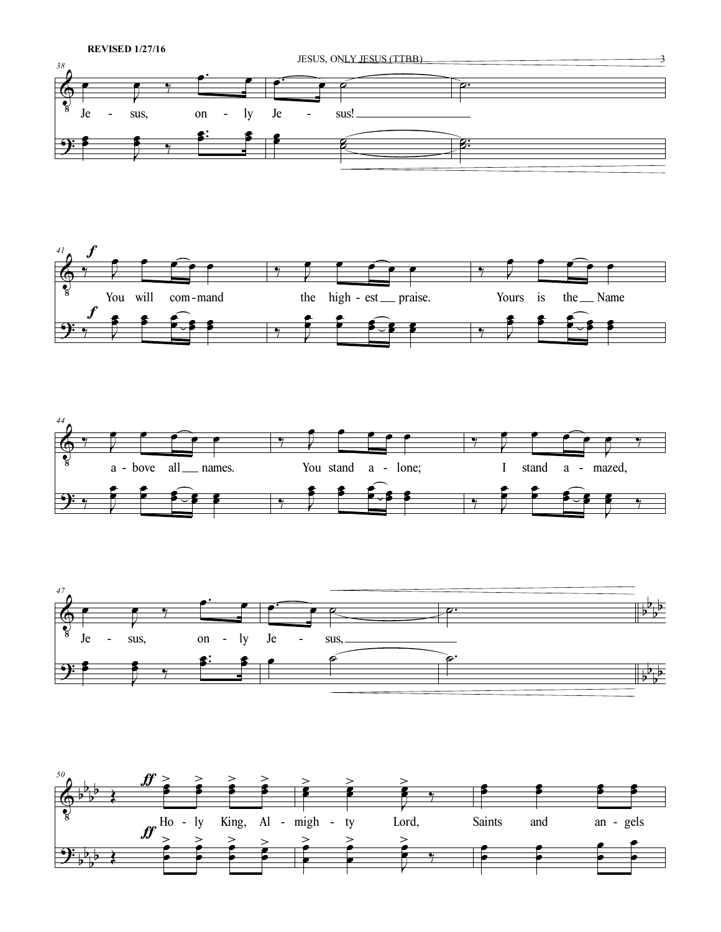







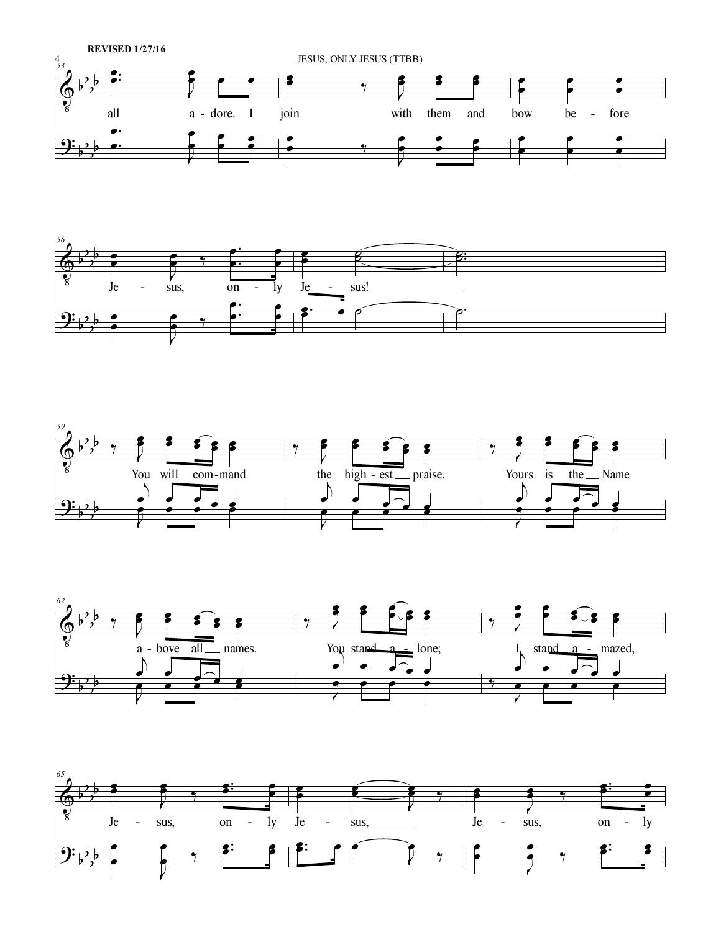







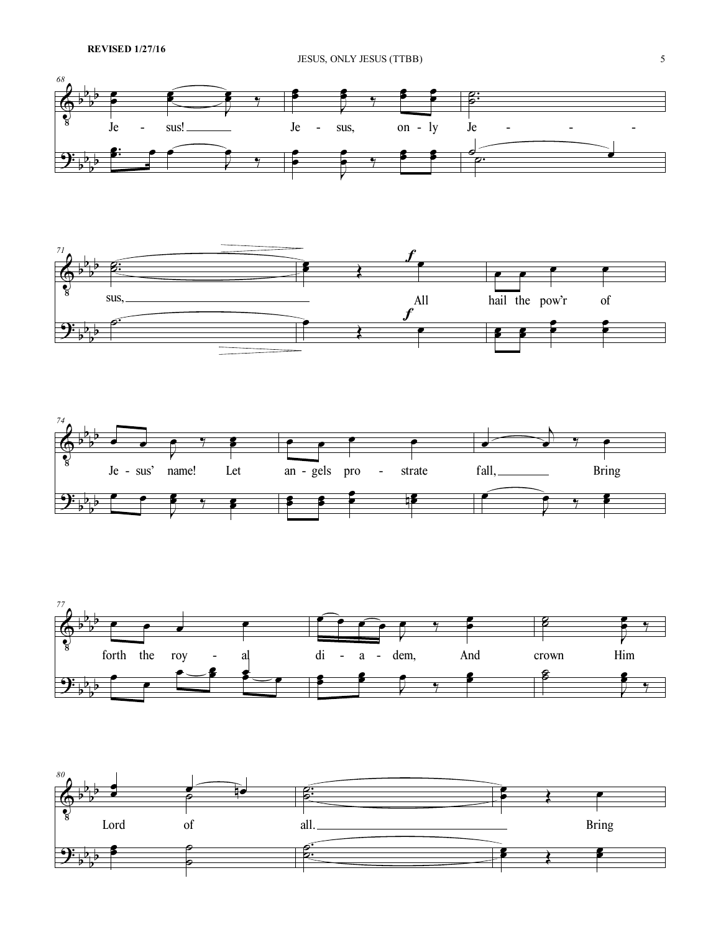## JESUS, ONLY JESUS (TTBB) 5